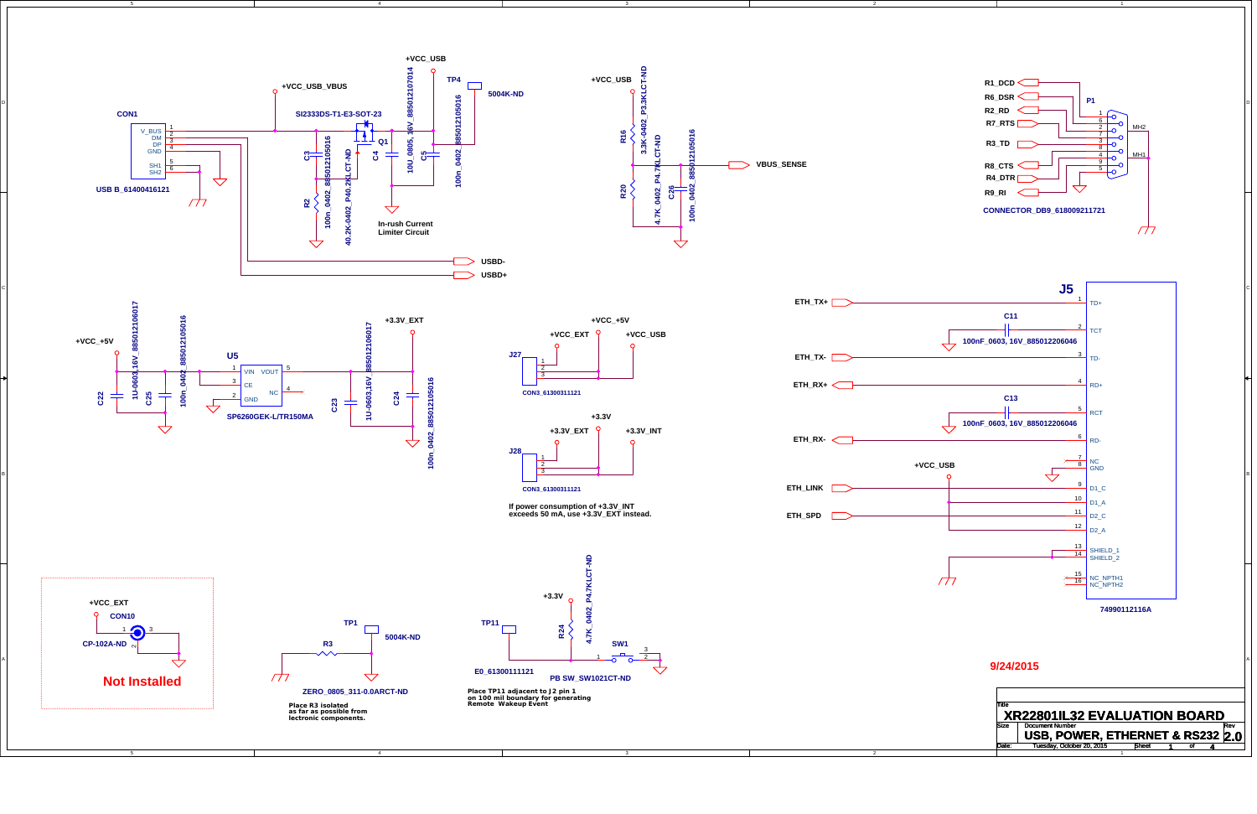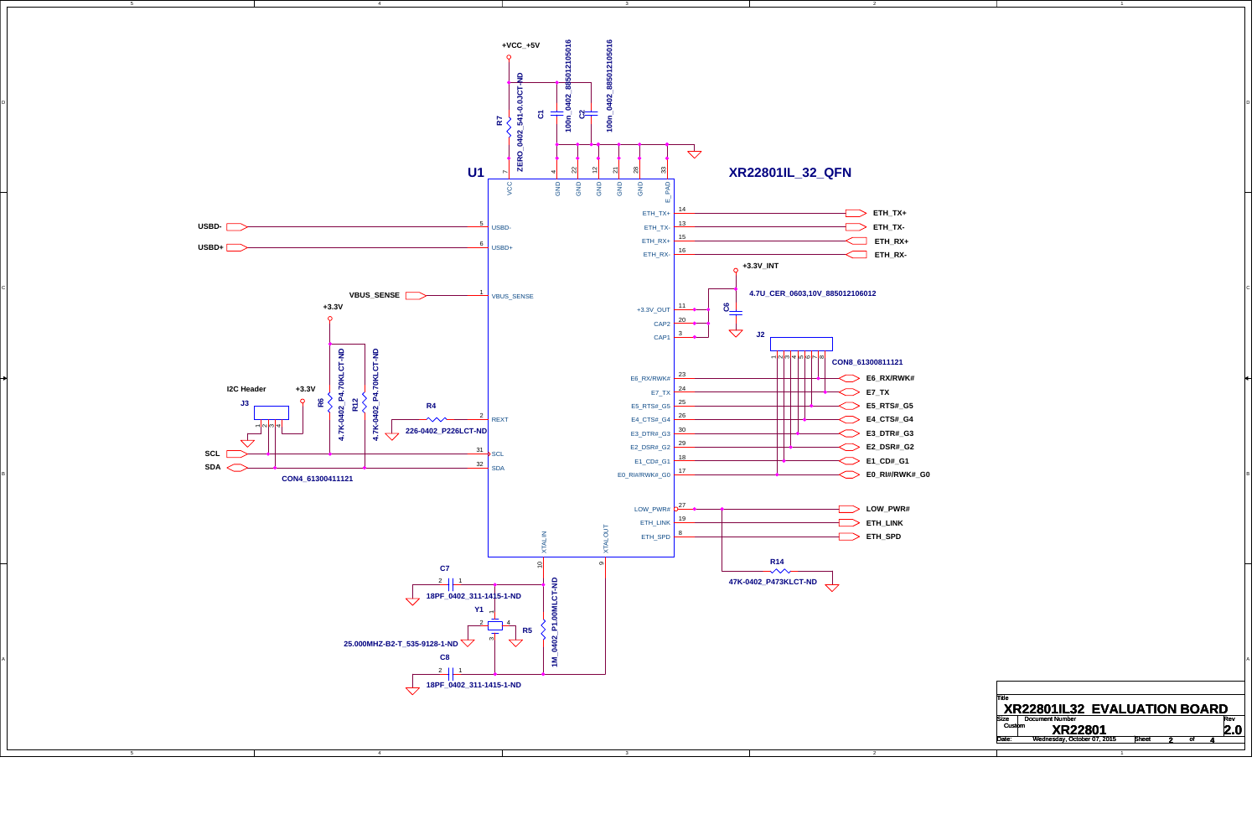4

5

2

1